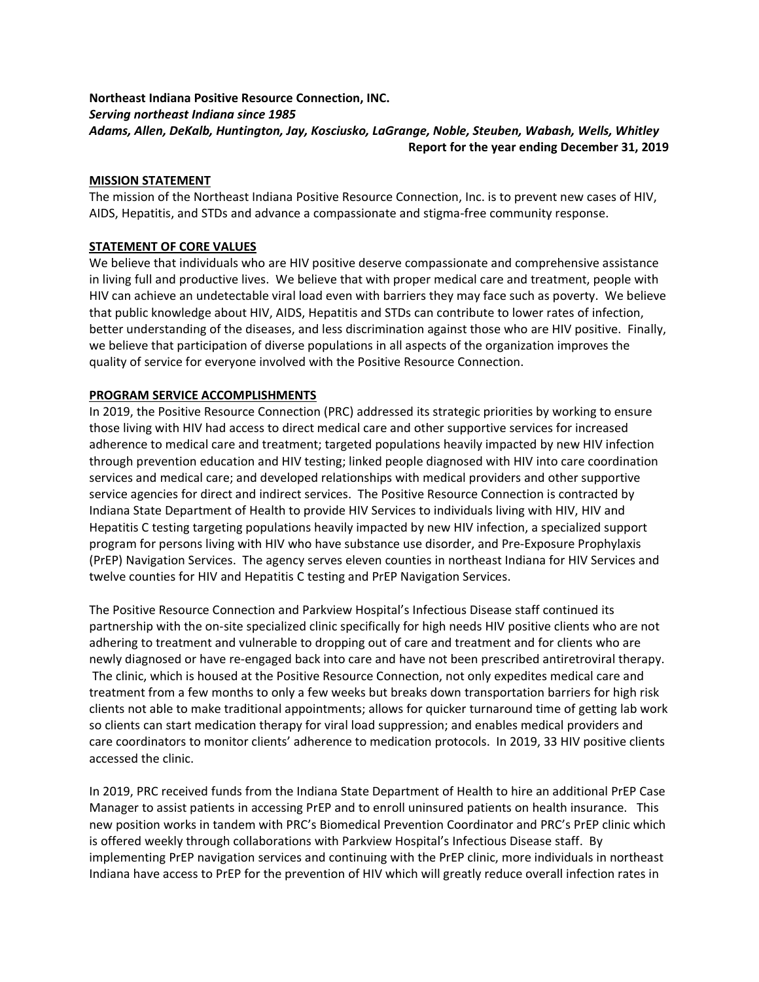# Northeast Indiana Positive Resource Connection, INC. Serving northeast Indiana since 1985 Adams, Allen, DeKalb, Huntington, Jay, Kosciusko, LaGrange, Noble, Steuben, Wabash, Wells, Whitley Report for the year ending December 31, 2019

# MISSION STATEMENT

The mission of the Northeast Indiana Positive Resource Connection, Inc. is to prevent new cases of HIV, AIDS, Hepatitis, and STDs and advance a compassionate and stigma-free community response.

# STATEMENT OF CORE VALUES

We believe that individuals who are HIV positive deserve compassionate and comprehensive assistance in living full and productive lives. We believe that with proper medical care and treatment, people with HIV can achieve an undetectable viral load even with barriers they may face such as poverty. We believe that public knowledge about HIV, AIDS, Hepatitis and STDs can contribute to lower rates of infection, better understanding of the diseases, and less discrimination against those who are HIV positive. Finally, we believe that participation of diverse populations in all aspects of the organization improves the quality of service for everyone involved with the Positive Resource Connection.

# PROGRAM SERVICE ACCOMPLISHMENTS

In 2019, the Positive Resource Connection (PRC) addressed its strategic priorities by working to ensure those living with HIV had access to direct medical care and other supportive services for increased adherence to medical care and treatment; targeted populations heavily impacted by new HIV infection through prevention education and HIV testing; linked people diagnosed with HIV into care coordination services and medical care; and developed relationships with medical providers and other supportive service agencies for direct and indirect services. The Positive Resource Connection is contracted by Indiana State Department of Health to provide HIV Services to individuals living with HIV, HIV and Hepatitis C testing targeting populations heavily impacted by new HIV infection, a specialized support program for persons living with HIV who have substance use disorder, and Pre-Exposure Prophylaxis (PrEP) Navigation Services. The agency serves eleven counties in northeast Indiana for HIV Services and twelve counties for HIV and Hepatitis C testing and PrEP Navigation Services.

The Positive Resource Connection and Parkview Hospital's Infectious Disease staff continued its partnership with the on-site specialized clinic specifically for high needs HIV positive clients who are not adhering to treatment and vulnerable to dropping out of care and treatment and for clients who are newly diagnosed or have re-engaged back into care and have not been prescribed antiretroviral therapy. The clinic, which is housed at the Positive Resource Connection, not only expedites medical care and treatment from a few months to only a few weeks but breaks down transportation barriers for high risk clients not able to make traditional appointments; allows for quicker turnaround time of getting lab work so clients can start medication therapy for viral load suppression; and enables medical providers and care coordinators to monitor clients' adherence to medication protocols. In 2019, 33 HIV positive clients accessed the clinic.

In 2019, PRC received funds from the Indiana State Department of Health to hire an additional PrEP Case Manager to assist patients in accessing PrEP and to enroll uninsured patients on health insurance. This new position works in tandem with PRC's Biomedical Prevention Coordinator and PRC's PrEP clinic which is offered weekly through collaborations with Parkview Hospital's Infectious Disease staff. By implementing PrEP navigation services and continuing with the PrEP clinic, more individuals in northeast Indiana have access to PrEP for the prevention of HIV which will greatly reduce overall infection rates in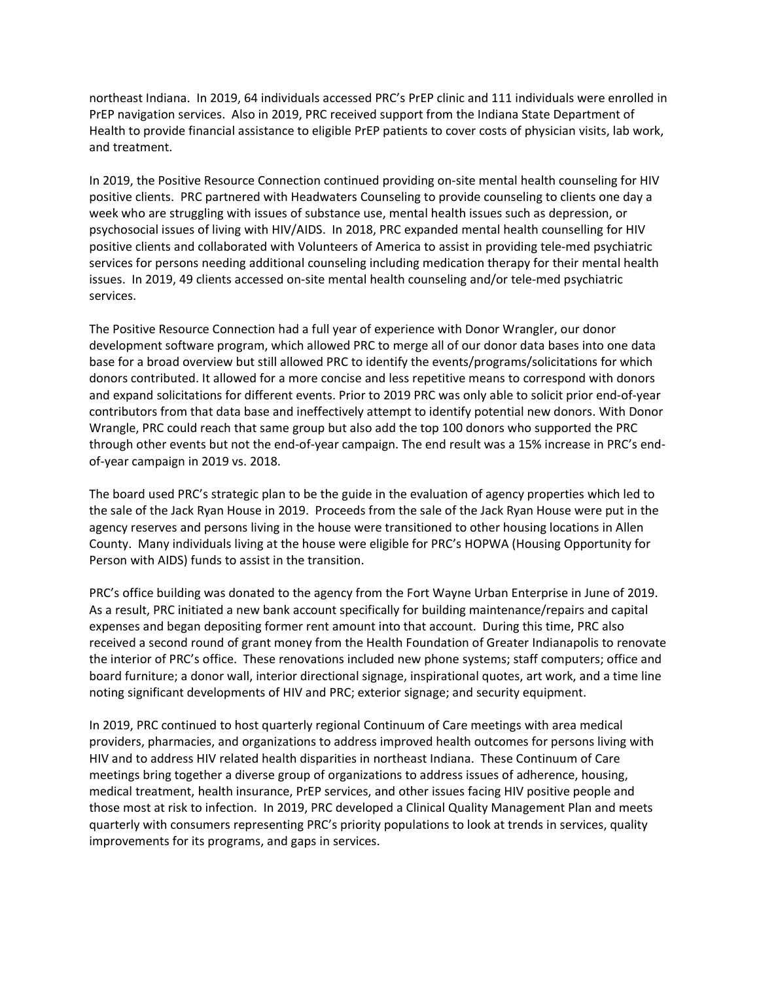northeast Indiana. In 2019, 64 individuals accessed PRC's PrEP clinic and 111 individuals were enrolled in PrEP navigation services. Also in 2019, PRC received support from the Indiana State Department of Health to provide financial assistance to eligible PrEP patients to cover costs of physician visits, lab work, and treatment.

In 2019, the Positive Resource Connection continued providing on-site mental health counseling for HIV positive clients. PRC partnered with Headwaters Counseling to provide counseling to clients one day a week who are struggling with issues of substance use, mental health issues such as depression, or psychosocial issues of living with HIV/AIDS. In 2018, PRC expanded mental health counselling for HIV positive clients and collaborated with Volunteers of America to assist in providing tele-med psychiatric services for persons needing additional counseling including medication therapy for their mental health issues. In 2019, 49 clients accessed on-site mental health counseling and/or tele-med psychiatric services.

The Positive Resource Connection had a full year of experience with Donor Wrangler, our donor development software program, which allowed PRC to merge all of our donor data bases into one data base for a broad overview but still allowed PRC to identify the events/programs/solicitations for which donors contributed. It allowed for a more concise and less repetitive means to correspond with donors and expand solicitations for different events. Prior to 2019 PRC was only able to solicit prior end-of-year contributors from that data base and ineffectively attempt to identify potential new donors. With Donor Wrangle, PRC could reach that same group but also add the top 100 donors who supported the PRC through other events but not the end-of-year campaign. The end result was a 15% increase in PRC's endof-year campaign in 2019 vs. 2018.

The board used PRC's strategic plan to be the guide in the evaluation of agency properties which led to the sale of the Jack Ryan House in 2019. Proceeds from the sale of the Jack Ryan House were put in the agency reserves and persons living in the house were transitioned to other housing locations in Allen County. Many individuals living at the house were eligible for PRC's HOPWA (Housing Opportunity for Person with AIDS) funds to assist in the transition.

PRC's office building was donated to the agency from the Fort Wayne Urban Enterprise in June of 2019. As a result, PRC initiated a new bank account specifically for building maintenance/repairs and capital expenses and began depositing former rent amount into that account. During this time, PRC also received a second round of grant money from the Health Foundation of Greater Indianapolis to renovate the interior of PRC's office. These renovations included new phone systems; staff computers; office and board furniture; a donor wall, interior directional signage, inspirational quotes, art work, and a time line noting significant developments of HIV and PRC; exterior signage; and security equipment.

In 2019, PRC continued to host quarterly regional Continuum of Care meetings with area medical providers, pharmacies, and organizations to address improved health outcomes for persons living with HIV and to address HIV related health disparities in northeast Indiana. These Continuum of Care meetings bring together a diverse group of organizations to address issues of adherence, housing, medical treatment, health insurance, PrEP services, and other issues facing HIV positive people and those most at risk to infection. In 2019, PRC developed a Clinical Quality Management Plan and meets quarterly with consumers representing PRC's priority populations to look at trends in services, quality improvements for its programs, and gaps in services.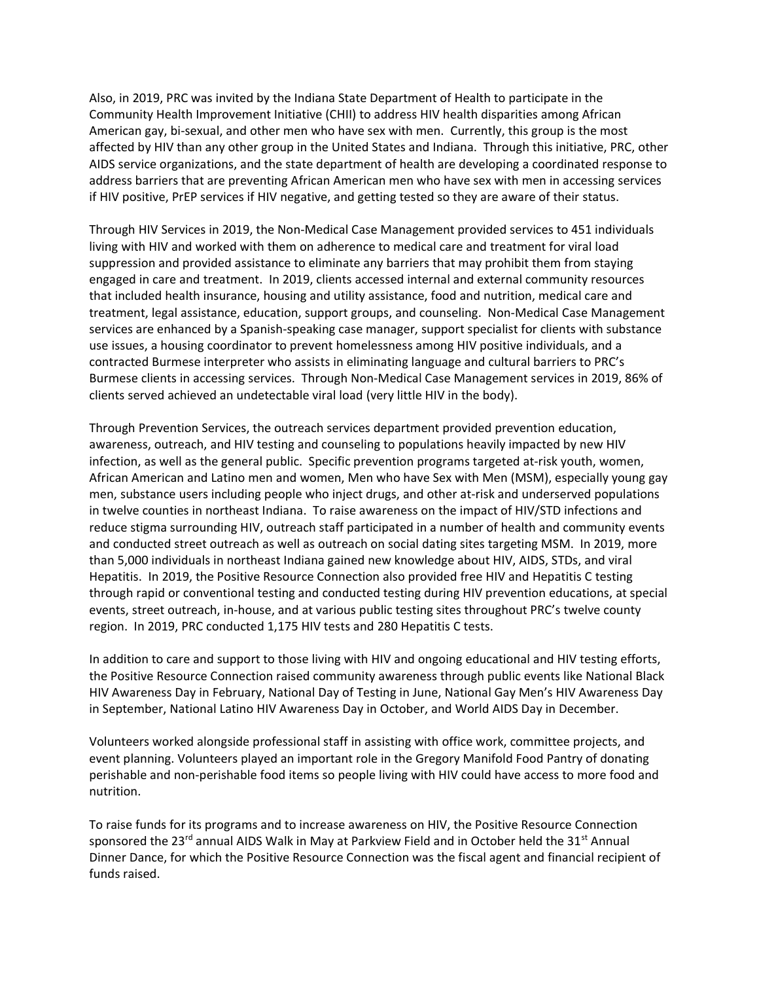Also, in 2019, PRC was invited by the Indiana State Department of Health to participate in the Community Health Improvement Initiative (CHII) to address HIV health disparities among African American gay, bi-sexual, and other men who have sex with men. Currently, this group is the most affected by HIV than any other group in the United States and Indiana. Through this initiative, PRC, other AIDS service organizations, and the state department of health are developing a coordinated response to address barriers that are preventing African American men who have sex with men in accessing services if HIV positive, PrEP services if HIV negative, and getting tested so they are aware of their status.

Through HIV Services in 2019, the Non-Medical Case Management provided services to 451 individuals living with HIV and worked with them on adherence to medical care and treatment for viral load suppression and provided assistance to eliminate any barriers that may prohibit them from staying engaged in care and treatment. In 2019, clients accessed internal and external community resources that included health insurance, housing and utility assistance, food and nutrition, medical care and treatment, legal assistance, education, support groups, and counseling. Non-Medical Case Management services are enhanced by a Spanish-speaking case manager, support specialist for clients with substance use issues, a housing coordinator to prevent homelessness among HIV positive individuals, and a contracted Burmese interpreter who assists in eliminating language and cultural barriers to PRC's Burmese clients in accessing services. Through Non-Medical Case Management services in 2019, 86% of clients served achieved an undetectable viral load (very little HIV in the body).

Through Prevention Services, the outreach services department provided prevention education, awareness, outreach, and HIV testing and counseling to populations heavily impacted by new HIV infection, as well as the general public. Specific prevention programs targeted at-risk youth, women, African American and Latino men and women, Men who have Sex with Men (MSM), especially young gay men, substance users including people who inject drugs, and other at-risk and underserved populations in twelve counties in northeast Indiana. To raise awareness on the impact of HIV/STD infections and reduce stigma surrounding HIV, outreach staff participated in a number of health and community events and conducted street outreach as well as outreach on social dating sites targeting MSM. In 2019, more than 5,000 individuals in northeast Indiana gained new knowledge about HIV, AIDS, STDs, and viral Hepatitis. In 2019, the Positive Resource Connection also provided free HIV and Hepatitis C testing through rapid or conventional testing and conducted testing during HIV prevention educations, at special events, street outreach, in-house, and at various public testing sites throughout PRC's twelve county region. In 2019, PRC conducted 1,175 HIV tests and 280 Hepatitis C tests.

In addition to care and support to those living with HIV and ongoing educational and HIV testing efforts, the Positive Resource Connection raised community awareness through public events like National Black HIV Awareness Day in February, National Day of Testing in June, National Gay Men's HIV Awareness Day in September, National Latino HIV Awareness Day in October, and World AIDS Day in December.

Volunteers worked alongside professional staff in assisting with office work, committee projects, and event planning. Volunteers played an important role in the Gregory Manifold Food Pantry of donating perishable and non-perishable food items so people living with HIV could have access to more food and nutrition.

To raise funds for its programs and to increase awareness on HIV, the Positive Resource Connection sponsored the  $23^{rd}$  annual AIDS Walk in May at Parkview Field and in October held the  $31^{st}$  Annual Dinner Dance, for which the Positive Resource Connection was the fiscal agent and financial recipient of funds raised.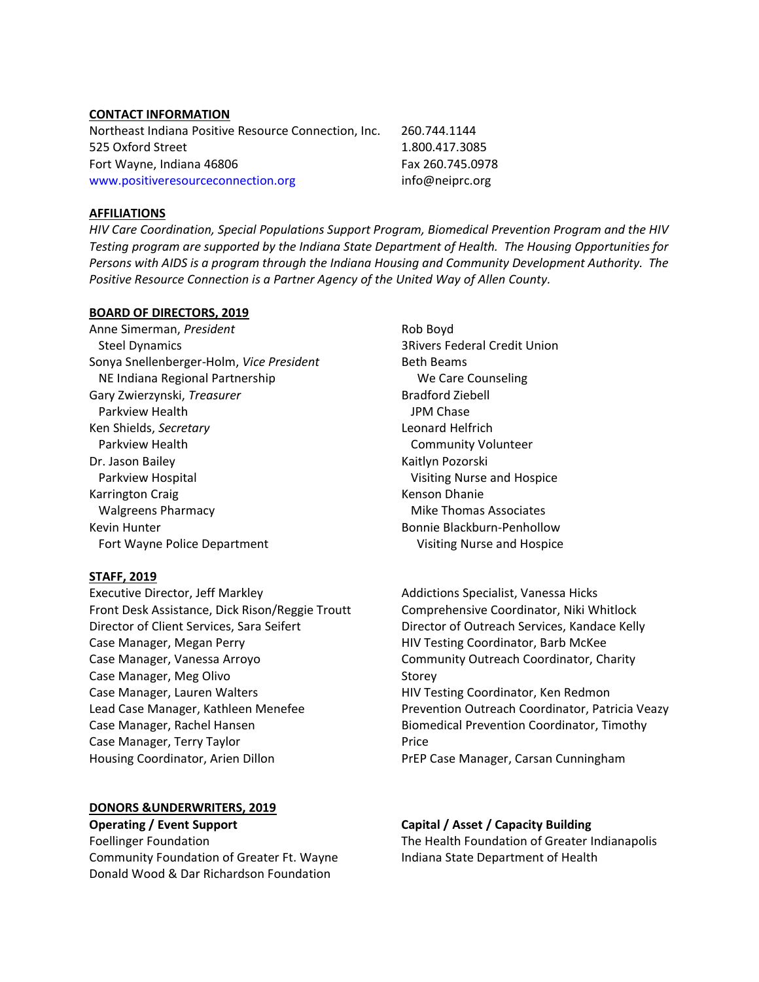#### CONTACT INFORMATION

| Northeast Indiana Positive Resource Connection, Inc. | 260.744.1144     |
|------------------------------------------------------|------------------|
| 525 Oxford Street                                    | 1.800.417.3085   |
| Fort Wayne, Indiana 46806                            | Fax 260.745.0978 |
| www.positiveresourceconnection.org                   | info@neiprc.org  |

# AFFILIATIONS

HIV Care Coordination, Special Populations Support Program, Biomedical Prevention Program and the HIV Testing program are supported by the Indiana State Department of Health. The Housing Opportunities for Persons with AIDS is a program through the Indiana Housing and Community Development Authority. The Positive Resource Connection is a Partner Agency of the United Way of Allen County.

# BOARD OF DIRECTORS, 2019

Anne Simerman, President Steel Dynamics Sonya Snellenberger-Holm, Vice President NE Indiana Regional Partnership Gary Zwierzynski, Treasurer Parkview Health Ken Shields, Secretary Parkview Health Dr. Jason Bailey Parkview Hospital Karrington Craig Walgreens Pharmacy Kevin Hunter **Bonnie Blackburn-Penhollow** Fort Wayne Police Department Visiting Nurse and Hospice

# STAFF, 2019

Executive Director, Jeff Markley Front Desk Assistance, Dick Rison/Reggie Troutt Director of Client Services, Sara Seifert Case Manager, Megan Perry Case Manager, Vanessa Arroyo Case Manager, Meg Olivo Case Manager, Lauren Walters Lead Case Manager, Kathleen Menefee Case Manager, Rachel Hansen Case Manager, Terry Taylor Housing Coordinator, Arien Dillon

# DONORS &UNDERWRITERS, 2019

Community Foundation of Greater Ft. Wayne Indiana State Department of Health Donald Wood & Dar Richardson Foundation

Rob Boyd 3Rivers Federal Credit Union Beth Beams We Care Counseling Bradford Ziebell JPM Chase Leonard Helfrich Community Volunteer Kaitlyn Pozorski Visiting Nurse and Hospice Kenson Dhanie Mike Thomas Associates

Addictions Specialist, Vanessa Hicks Comprehensive Coordinator, Niki Whitlock Director of Outreach Services, Kandace Kelly HIV Testing Coordinator, Barb McKee Community Outreach Coordinator, Charity Storey HIV Testing Coordinator, Ken Redmon Prevention Outreach Coordinator, Patricia Veazy Biomedical Prevention Coordinator, Timothy Price PrEP Case Manager, Carsan Cunningham

# Operating / Event Support Capital / Asset / Capacity Building

Foellinger Foundation The Health Foundation of Greater Indianapolis